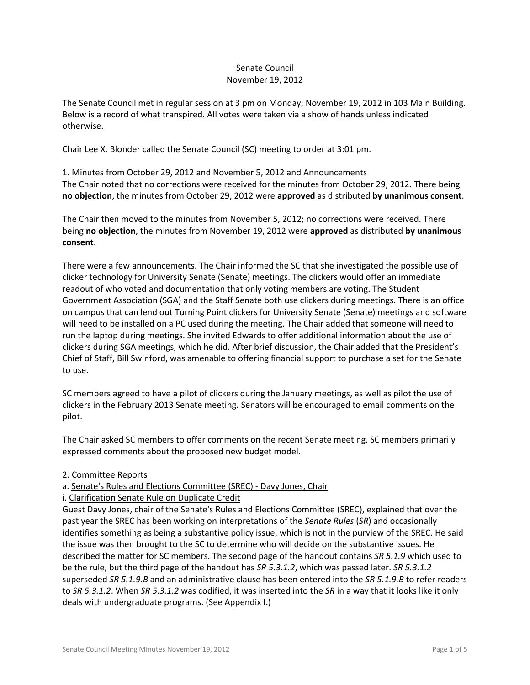# Senate Council November 19, 2012

The Senate Council met in regular session at 3 pm on Monday, November 19, 2012 in 103 Main Building. Below is a record of what transpired. All votes were taken via a show of hands unless indicated otherwise.

Chair Lee X. Blonder called the Senate Council (SC) meeting to order at 3:01 pm.

1. Minutes from October 29, 2012 and November 5, 2012 and Announcements The Chair noted that no corrections were received for the minutes from October 29, 2012. There being **no objection**, the minutes from October 29, 2012 were **approved** as distributed **by unanimous consent**.

The Chair then moved to the minutes from November 5, 2012; no corrections were received. There being **no objection**, the minutes from November 19, 2012 were **approved** as distributed **by unanimous consent**.

There were a few announcements. The Chair informed the SC that she investigated the possible use of clicker technology for University Senate (Senate) meetings. The clickers would offer an immediate readout of who voted and documentation that only voting members are voting. The Student Government Association (SGA) and the Staff Senate both use clickers during meetings. There is an office on campus that can lend out Turning Point clickers for University Senate (Senate) meetings and software will need to be installed on a PC used during the meeting. The Chair added that someone will need to run the laptop during meetings. She invited Edwards to offer additional information about the use of clickers during SGA meetings, which he did. After brief discussion, the Chair added that the President's Chief of Staff, Bill Swinford, was amenable to offering financial support to purchase a set for the Senate to use.

SC members agreed to have a pilot of clickers during the January meetings, as well as pilot the use of clickers in the February 2013 Senate meeting. Senators will be encouraged to email comments on the pilot.

The Chair asked SC members to offer comments on the recent Senate meeting. SC members primarily expressed comments about the proposed new budget model.

## 2. Committee Reports

a. Senate's Rules and Elections Committee (SREC) - Davy Jones, Chair

## i. Clarification Senate Rule on Duplicate Credit

Guest Davy Jones, chair of the Senate's Rules and Elections Committee (SREC), explained that over the past year the SREC has been working on interpretations of the *Senate Rules* (*SR*) and occasionally identifies something as being a substantive policy issue, which is not in the purview of the SREC. He said the issue was then brought to the SC to determine who will decide on the substantive issues. He described the matter for SC members. The second page of the handout contains *SR 5.1.9* which used to be the rule, but the third page of the handout has *SR 5.3.1.2*, which was passed later. *SR 5.3.1.2* superseded *SR 5.1.9.B* and an administrative clause has been entered into the *SR 5.1.9.B* to refer readers to *SR 5.3.1.2*. When *SR 5.3.1.2* was codified, it was inserted into the *SR* in a way that it looks like it only deals with undergraduate programs. (See Appendix I.)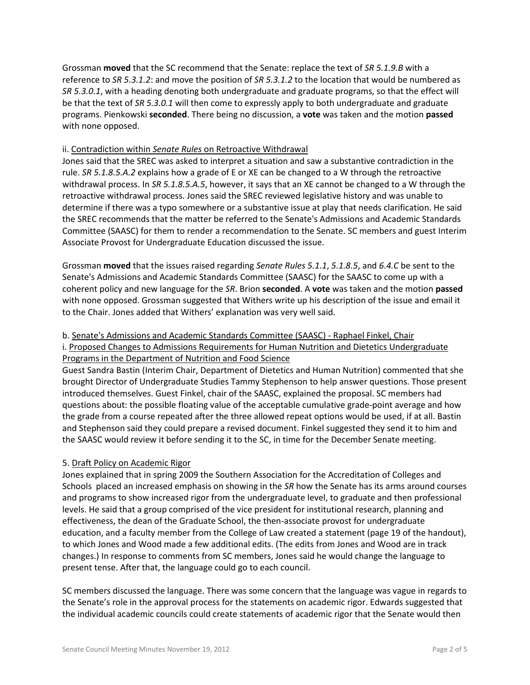Grossman **moved** that the SC recommend that the Senate: replace the text of *SR 5.1.9.B* with a reference to *SR 5.3.1.2*: and move the position of *SR 5.3.1.2* to the location that would be numbered as *SR 5.3.0.1*, with a heading denoting both undergraduate and graduate programs, so that the effect will be that the text of *SR 5.3.0.1* will then come to expressly apply to both undergraduate and graduate programs. Pienkowski **seconded**. There being no discussion, a **vote** was taken and the motion **passed** with none opposed.

## ii. Contradiction within *Senate Rules* on Retroactive Withdrawal

Jones said that the SREC was asked to interpret a situation and saw a substantive contradiction in the rule. *SR 5.1.8.5.A.2* explains how a grade of E or XE can be changed to a W through the retroactive withdrawal process. In *SR 5.1.8.5.A.5*, however, it says that an XE cannot be changed to a W through the retroactive withdrawal process. Jones said the SREC reviewed legislative history and was unable to determine if there was a typo somewhere or a substantive issue at play that needs clarification. He said the SREC recommends that the matter be referred to the Senate's Admissions and Academic Standards Committee (SAASC) for them to render a recommendation to the Senate. SC members and guest Interim Associate Provost for Undergraduate Education discussed the issue.

Grossman **moved** that the issues raised regarding *Senate Rules 5.1.1*, *5.1.8.5*, and *6.4.C* be sent to the Senate's Admissions and Academic Standards Committee (SAASC) for the SAASC to come up with a coherent policy and new language for the *SR*. Brion **seconded**. A **vote** was taken and the motion **passed** with none opposed. Grossman suggested that Withers write up his description of the issue and email it to the Chair. Jones added that Withers' explanation was very well said.

## b. Senate's Admissions and Academic Standards Committee (SAASC) - Raphael Finkel, Chair

i. Proposed Changes to Admissions Requirements for Human Nutrition and Dietetics Undergraduate Programs in the Department of Nutrition and Food Science

Guest Sandra Bastin (Interim Chair, Department of Dietetics and Human Nutrition) commented that she brought Director of Undergraduate Studies Tammy Stephenson to help answer questions. Those present introduced themselves. Guest Finkel, chair of the SAASC, explained the proposal. SC members had questions about: the possible floating value of the acceptable cumulative grade-point average and how the grade from a course repeated after the three allowed repeat options would be used, if at all. Bastin and Stephenson said they could prepare a revised document. Finkel suggested they send it to him and the SAASC would review it before sending it to the SC, in time for the December Senate meeting.

## 5. Draft Policy on Academic Rigor

Jones explained that in spring 2009 the Southern Association for the Accreditation of Colleges and Schools placed an increased emphasis on showing in the *SR* how the Senate has its arms around courses and programs to show increased rigor from the undergraduate level, to graduate and then professional levels. He said that a group comprised of the vice president for institutional research, planning and effectiveness, the dean of the Graduate School, the then-associate provost for undergraduate education, and a faculty member from the College of Law created a statement (page 19 of the handout), to which Jones and Wood made a few additional edits. (The edits from Jones and Wood are in track changes.) In response to comments from SC members, Jones said he would change the language to present tense. After that, the language could go to each council.

SC members discussed the language. There was some concern that the language was vague in regards to the Senate's role in the approval process for the statements on academic rigor. Edwards suggested that the individual academic councils could create statements of academic rigor that the Senate would then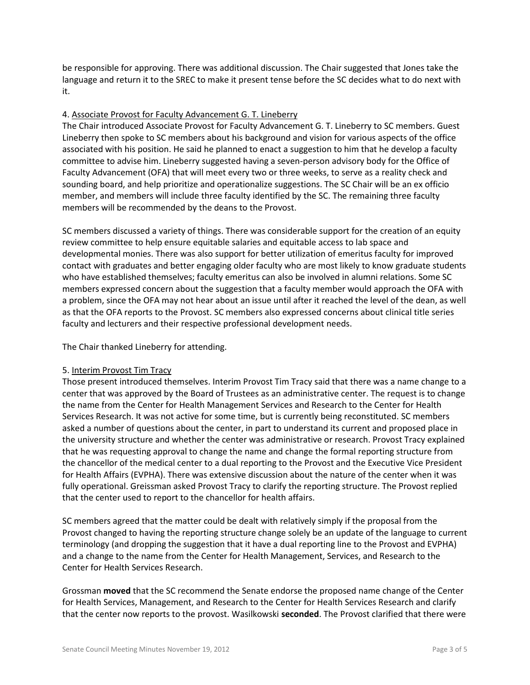be responsible for approving. There was additional discussion. The Chair suggested that Jones take the language and return it to the SREC to make it present tense before the SC decides what to do next with it.

## 4. Associate Provost for Faculty Advancement G. T. Lineberry

The Chair introduced Associate Provost for Faculty Advancement G. T. Lineberry to SC members. Guest Lineberry then spoke to SC members about his background and vision for various aspects of the office associated with his position. He said he planned to enact a suggestion to him that he develop a faculty committee to advise him. Lineberry suggested having a seven-person advisory body for the Office of Faculty Advancement (OFA) that will meet every two or three weeks, to serve as a reality check and sounding board, and help prioritize and operationalize suggestions. The SC Chair will be an ex officio member, and members will include three faculty identified by the SC. The remaining three faculty members will be recommended by the deans to the Provost.

SC members discussed a variety of things. There was considerable support for the creation of an equity review committee to help ensure equitable salaries and equitable access to lab space and developmental monies. There was also support for better utilization of emeritus faculty for improved contact with graduates and better engaging older faculty who are most likely to know graduate students who have established themselves; faculty emeritus can also be involved in alumni relations. Some SC members expressed concern about the suggestion that a faculty member would approach the OFA with a problem, since the OFA may not hear about an issue until after it reached the level of the dean, as well as that the OFA reports to the Provost. SC members also expressed concerns about clinical title series faculty and lecturers and their respective professional development needs.

The Chair thanked Lineberry for attending.

## 5. Interim Provost Tim Tracy

Those present introduced themselves. Interim Provost Tim Tracy said that there was a name change to a center that was approved by the Board of Trustees as an administrative center. The request is to change the name from the Center for Health Management Services and Research to the Center for Health Services Research. It was not active for some time, but is currently being reconstituted. SC members asked a number of questions about the center, in part to understand its current and proposed place in the university structure and whether the center was administrative or research. Provost Tracy explained that he was requesting approval to change the name and change the formal reporting structure from the chancellor of the medical center to a dual reporting to the Provost and the Executive Vice President for Health Affairs (EVPHA). There was extensive discussion about the nature of the center when it was fully operational. Greissman asked Provost Tracy to clarify the reporting structure. The Provost replied that the center used to report to the chancellor for health affairs.

SC members agreed that the matter could be dealt with relatively simply if the proposal from the Provost changed to having the reporting structure change solely be an update of the language to current terminology (and dropping the suggestion that it have a dual reporting line to the Provost and EVPHA) and a change to the name from the Center for Health Management, Services, and Research to the Center for Health Services Research.

Grossman **moved** that the SC recommend the Senate endorse the proposed name change of the Center for Health Services, Management, and Research to the Center for Health Services Research and clarify that the center now reports to the provost. Wasilkowski **seconded**. The Provost clarified that there were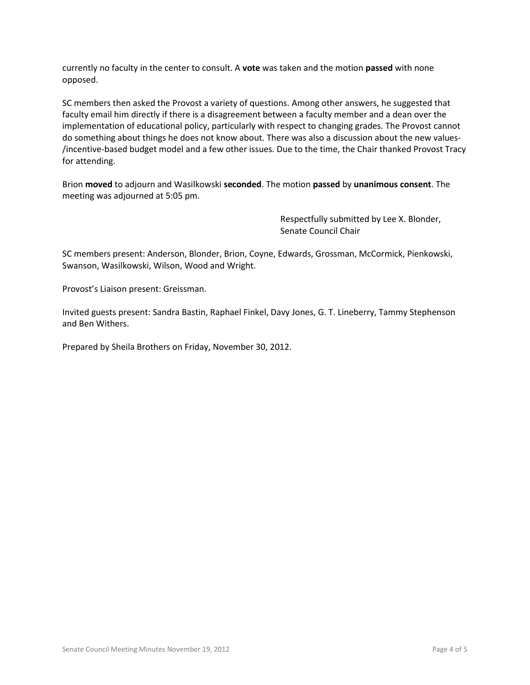currently no faculty in the center to consult. A **vote** was taken and the motion **passed** with none opposed.

SC members then asked the Provost a variety of questions. Among other answers, he suggested that faculty email him directly if there is a disagreement between a faculty member and a dean over the implementation of educational policy, particularly with respect to changing grades. The Provost cannot do something about things he does not know about. There was also a discussion about the new values- /incentive-based budget model and a few other issues. Due to the time, the Chair thanked Provost Tracy for attending.

Brion **moved** to adjourn and Wasilkowski **seconded**. The motion **passed** by **unanimous consent**. The meeting was adjourned at 5:05 pm.

> Respectfully submitted by Lee X. Blonder, Senate Council Chair

SC members present: Anderson, Blonder, Brion, Coyne, Edwards, Grossman, McCormick, Pienkowski, Swanson, Wasilkowski, Wilson, Wood and Wright.

Provost's Liaison present: Greissman.

Invited guests present: Sandra Bastin, Raphael Finkel, Davy Jones, G. T. Lineberry, Tammy Stephenson and Ben Withers.

Prepared by Sheila Brothers on Friday, November 30, 2012.